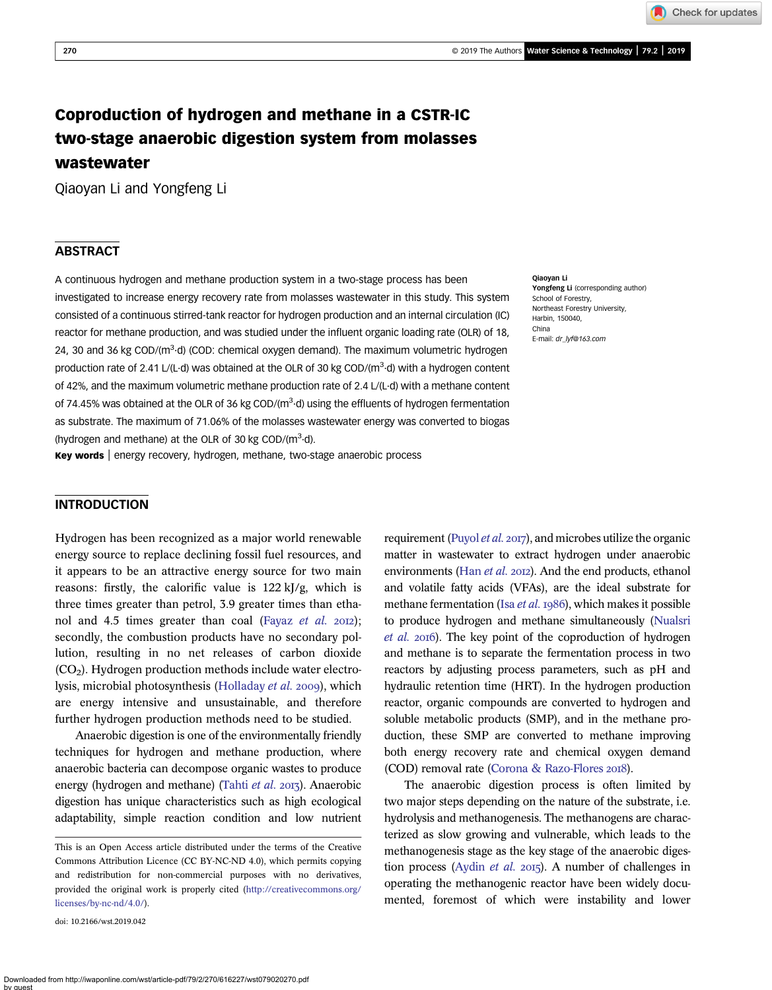Check for updates

# Coproduction of hydrogen and methane in a CSTR-IC two-stage anaerobic digestion system from molasses wastewater

Qiaoyan Li and Yongfeng Li

# **ABSTRACT**

A continuous hydrogen and methane production system in a two-stage process has been investigated to increase energy recovery rate from molasses wastewater in this study. This system consisted of a continuous stirred-tank reactor for hydrogen production and an internal circulation (IC) reactor for methane production, and was studied under the influent organic loading rate (OLR) of 18, 24, 30 and 36 kg COD/(m<sup>3</sup>·d) (COD: chemical oxygen demand). The maximum volumetric hydrogen production rate of 2.41 L/(L·d) was obtained at the OLR of 30 kg COD/(m<sup>3</sup>·d) with a hydrogen content of 42%, and the maximum volumetric methane production rate of 2.4 L/(L·d) with a methane content of 74.45% was obtained at the OLR of 36 kg COD/(m<sup>3</sup>·d) using the effluents of hydrogen fermentation as substrate. The maximum of 71.06% of the molasses wastewater energy was converted to biogas (hydrogen and methane) at the OLR of 30 kg COD/( $m^3$ -d).

Key words | energy recovery, hydrogen, methane, two-stage anaerobic process

#### Qiaoyan Li Yongfeng Li (corresponding author) School of Forestry, Northeast Forestry University, Harbin, 150040, China E-mail: [dr\\_lyf@163.com](mailto:dr_lyf@163.com)

# INTRODUCTION

Hydrogen has been recognized as a major world renewable energy source to replace declining fossil fuel resources, and it appears to be an attractive energy source for two main reasons: firstly, the calorific value is 122 kJ/g, which is three times greater than petrol, 3.9 greater times than etha-nol and 4.5 times greater than coal ([Fayaz](#page-6-0) et al.  $20I2$ ); secondly, the combustion products have no secondary pollution, resulting in no net releases of carbon dioxide  $(CO<sub>2</sub>)$ . Hydrogen production methods include water electro-lysis, microbial photosynthesis [\(Holladay](#page-6-0) et al. 2009), which are energy intensive and unsustainable, and therefore further hydrogen production methods need to be studied.

Anaerobic digestion is one of the environmentally friendly techniques for hydrogen and methane production, where anaerobic bacteria can decompose organic wastes to produce energy (hydrogen and methane) ([Tahti](#page-7-0) et al. 2013). Anaerobic digestion has unique characteristics such as high ecological adaptability, simple reaction condition and low nutrient

doi: 10.2166/wst.2019.042

requirement [\(Puyol](#page-7-0) et al. 2017), and microbes utilize the organic matter in wastewater to extract hydrogen under anaerobic environments (Han [et al.](#page-6-0) 2012). And the end products, ethanol and volatile fatty acids (VFAs), are the ideal substrate for methane fermentation (Isa  $et$   $al$ .  $1986$ ), which makes it possible to produce hydrogen and methane simultaneously [\(Nualsri](#page-6-0) [et al.](#page-6-0) 2016). The key point of the coproduction of hydrogen and methane is to separate the fermentation process in two reactors by adjusting process parameters, such as pH and hydraulic retention time (HRT). In the hydrogen production reactor, organic compounds are converted to hydrogen and soluble metabolic products (SMP), and in the methane production, these SMP are converted to methane improving both energy recovery rate and chemical oxygen demand (COD) removal rate ([Corona & Razo-Flores](#page-6-0) 2018).

The anaerobic digestion process is often limited by two major steps depending on the nature of the substrate, i.e. hydrolysis and methanogenesis. The methanogens are characterized as slow growing and vulnerable, which leads to the methanogenesis stage as the key stage of the anaerobic diges-tion process [\(Aydin](#page-6-0) *et al.* 2015). A number of challenges in operating the methanogenic reactor have been widely documented, foremost of which were instability and lower

This is an Open Access article distributed under the terms of the Creative Commons Attribution Licence (CC BY-NC-ND 4.0), which permits copying and redistribution for non-commercial purposes with no derivatives, provided the original work is properly cited [\(http://creativecommons.org/](http://creativecommons.org/licenses/by-nc-nd/4.0/) [licenses/by-nc-nd/4.0/\)](http://creativecommons.org/licenses/by-nc-nd/4.0/).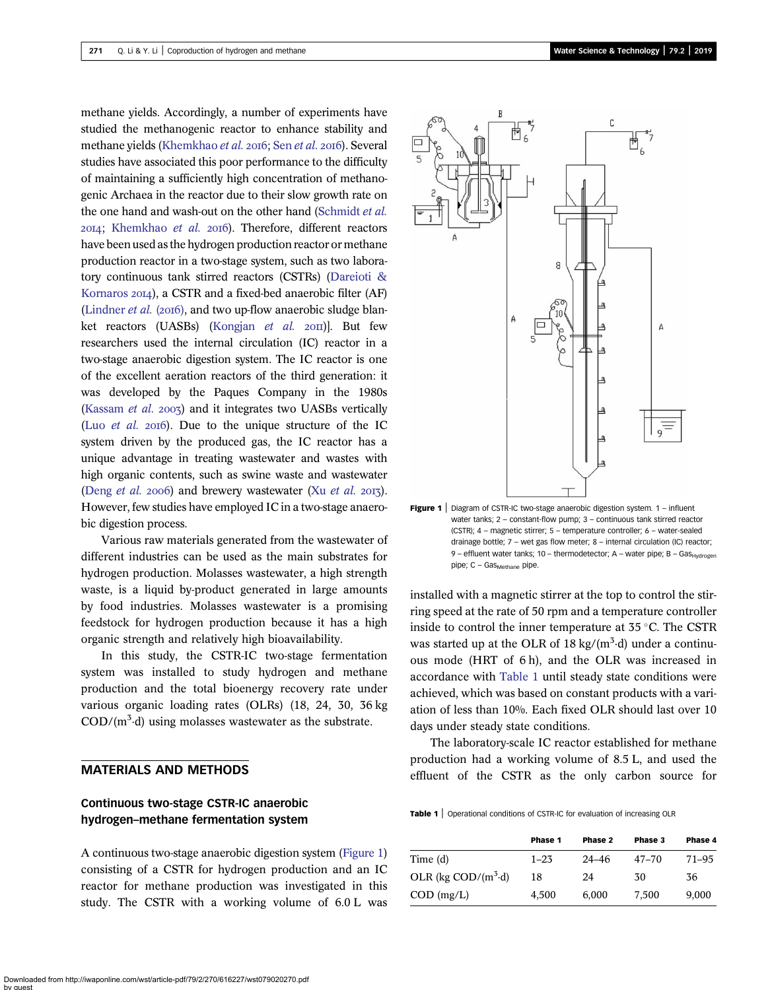methane yields. Accordingly, a number of experiments have studied the methanogenic reactor to enhance stability and methane yields ([Khemkhao](#page-6-0) [et al.](#page-7-0) 2016; Sen et al. 2016). Several studies have associated this poor performance to the difficulty of maintaining a sufficiently high concentration of methanogenic Archaea in the reactor due to their slow growth rate on the one hand and wash-out on the other hand [\(Schmidt](#page-7-0) et al. 2014; [Khemkhao](#page-6-0) et al. 2016). Therefore, different reactors have been used as the hydrogen production reactor or methane production reactor in a two-stage system, such as two laboratory continuous tank stirred reactors (CSTRs) ([Dareioti &](#page-6-0) [Kornaros](#page-6-0) 2014), a CSTR and a fixed-bed anaerobic filter (AF) [\(Lindner](#page-6-0)  $et$  al. (2016), and two up-flow anaerobic sludge blan-ket reactors (UASBs) [\(Kongjan](#page-6-0) et al.  $20$ II). But few researchers used the internal circulation (IC) reactor in a two-stage anaerobic digestion system. The IC reactor is one of the excellent aeration reactors of the third generation: it was developed by the Paques Company in the 1980s [\(Kassam](#page-6-0) *et al.* 2003) and it integrates two UASBs vertically (Luo *[et al.](#page-6-0)* 2016). Due to the unique structure of the IC system driven by the produced gas, the IC reactor has a unique advantage in treating wastewater and wastes with high organic contents, such as swine waste and wastewater [\(Deng](#page-6-0) *[et al.](#page-7-0)* 2006) and brewery wastewater (Xu *et al.* 2013). However, few studies have employed IC in a two-stage anaerobic digestion process.

Various raw materials generated from the wastewater of different industries can be used as the main substrates for hydrogen production. Molasses wastewater, a high strength waste, is a liquid by-product generated in large amounts by food industries. Molasses wastewater is a promising feedstock for hydrogen production because it has a high organic strength and relatively high bioavailability.

In this study, the CSTR-IC two-stage fermentation system was installed to study hydrogen and methane production and the total bioenergy recovery rate under various organic loading rates (OLRs) (18, 24, 30, 36 kg  $\text{COD/(m}^3 \cdot d)$  using molasses wastewater as the substrate.

# MATERIALS AND METHODS

# Continuous two-stage CSTR-IC anaerobic hydrogen–methane fermentation system

A continuous two-stage anaerobic digestion system (Figure 1) consisting of a CSTR for hydrogen production and an IC reactor for methane production was investigated in this study. The CSTR with a working volume of 6.0 L was



Figure 1 | Diagram of CSTR-IC two-stage anaerobic digestion system. 1 - influent water tanks; 2 – constant-flow pump; 3 – continuous tank stirred reactor (CSTR); 4 – magnetic stirrer; 5 – temperature controller; 6 – water-sealed drainage bottle; 7 – wet gas flow meter; 8 – internal circulation (IC) reactor; 9 – effluent water tanks; 10 – thermodetector; A – water pipe; B – Gas $_{\text{Hvdrogen}}$  $pipe; C - Gas_{Methode}$  pipe.

installed with a magnetic stirrer at the top to control the stirring speed at the rate of 50 rpm and a temperature controller inside to control the inner temperature at  $35^{\circ}$ C. The CSTR was started up at the OLR of 18  $\text{kg/(m}^3\text{-d})$  under a continuous mode (HRT of 6 h), and the OLR was increased in accordance with Table 1 until steady state conditions were achieved, which was based on constant products with a variation of less than 10%. Each fixed OLR should last over 10 days under steady state conditions.

The laboratory-scale IC reactor established for methane production had a working volume of 8.5 L, and used the effluent of the CSTR as the only carbon source for

Table 1 | Operational conditions of CSTR-IC for evaluation of increasing OLR

|                                                  | Phase 1  | Phase 2   | Phase 3   | Phase 4   |
|--------------------------------------------------|----------|-----------|-----------|-----------|
| Time (d)                                         | $1 - 23$ | $24 - 46$ | $47 - 70$ | $71 - 95$ |
| OLR (kg $\text{COD}/(\text{m}^3 \cdot \text{d})$ | 18       | 24        | 30        | 36        |
| $COD$ (mg/L)                                     | 4.500    | 6.000     | 7.500     | 9.000     |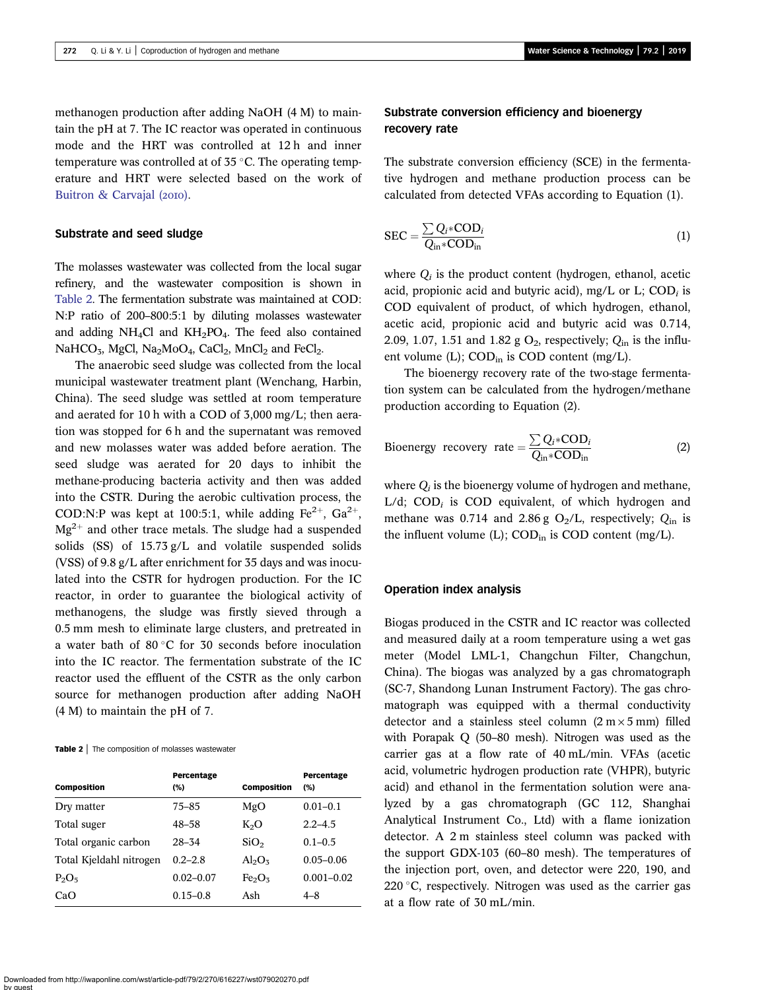methanogen production after adding NaOH (4 M) to maintain the pH at 7. The IC reactor was operated in continuous mode and the HRT was controlled at 12 h and inner temperature was controlled at of  $35^{\circ}$ C. The operating temperature and HRT were selected based on the work of [Buitron & Carvajal \(](#page-6-0)2010).

### Substrate and seed sludge

The molasses wastewater was collected from the local sugar refinery, and the wastewater composition is shown in Table 2. The fermentation substrate was maintained at COD: N:P ratio of 200–800:5:1 by diluting molasses wastewater and adding  $NH<sub>4</sub>Cl$  and  $KH<sub>2</sub>PO<sub>4</sub>$ . The feed also contained NaHCO<sub>3</sub>, MgCl, Na<sub>2</sub>MoO<sub>4</sub>, CaCl<sub>2</sub>, MnCl<sub>2</sub> and FeCl<sub>2</sub>.

The anaerobic seed sludge was collected from the local municipal wastewater treatment plant (Wenchang, Harbin, China). The seed sludge was settled at room temperature and aerated for 10 h with a COD of 3,000 mg/L; then aeration was stopped for 6 h and the supernatant was removed and new molasses water was added before aeration. The seed sludge was aerated for 20 days to inhibit the methane-producing bacteria activity and then was added into the CSTR. During the aerobic cultivation process, the COD:N:P was kept at 100:5:1, while adding  $Fe^{2+}$ ,  $Ga^{2+}$ ,  $Mg^{2+}$  and other trace metals. The sludge had a suspended solids (SS) of 15.73 g/L and volatile suspended solids (VSS) of 9.8 g/L after enrichment for 35 days and was inoculated into the CSTR for hydrogen production. For the IC reactor, in order to guarantee the biological activity of methanogens, the sludge was firstly sieved through a 0.5 mm mesh to eliminate large clusters, and pretreated in a water bath of 80 $\degree$ C for 30 seconds before inoculation into the IC reactor. The fermentation substrate of the IC reactor used the effluent of the CSTR as the only carbon source for methanogen production after adding NaOH (4 M) to maintain the pH of 7.

Table 2 | The composition of molasses wastewater

| <b>Composition</b>      | Percentage<br>(%) | <b>Composition</b>             | Percentage<br>(%) |
|-------------------------|-------------------|--------------------------------|-------------------|
| Dry matter              | $75 - 85$         | MgO                            | $0.01 - 0.1$      |
| Total suger             | 48–58             | $K_2O$                         | $2.2 - 4.5$       |
| Total organic carbon    | $28 - 34$         | SiO <sub>2</sub>               | $0.1 - 0.5$       |
| Total Kjeldahl nitrogen | $0.2 - 2.8$       | $Al_2O_3$                      | $0.05 - 0.06$     |
| $P_2O_5$                | $0.02 - 0.07$     | Fe <sub>2</sub> O <sub>3</sub> | $0.001 - 0.02$    |
| CaO                     | $0.15 - 0.8$      | Ash                            | $4 - 8$           |

# Substrate conversion efficiency and bioenergy recovery rate

The substrate conversion efficiency (SCE) in the fermentative hydrogen and methane production process can be calculated from detected VFAs according to Equation (1).

$$
SEC = \frac{\sum Q_i * COD_i}{Q_{in} * COD_{in}} \tag{1}
$$

where  $Q_i$  is the product content (hydrogen, ethanol, acetic acid, propionic acid and butyric acid), mg/L or L;  $\text{COD}_i$  is COD equivalent of product, of which hydrogen, ethanol, acetic acid, propionic acid and butyric acid was 0.714, 2.09, 1.07, 1.51 and 1.82 g  $O_2$ , respectively;  $Q_{\text{in}}$  is the influent volume (L); COD<sub>in</sub> is COD content (mg/L).

The bioenergy recovery rate of the two-stage fermentation system can be calculated from the hydrogen/methane production according to Equation (2).

Bioenergy recovery rate = 
$$
\frac{\sum Q_i * COD_i}{Q_{in} * COD_{in}}
$$
 (2)

where  $Q_i$  is the bioenergy volume of hydrogen and methane, L/d; COD<sub>i</sub> is COD equivalent, of which hydrogen and methane was 0.714 and 2.86 g  $O_2/L$ , respectively;  $Q_{in}$  is the influent volume  $(L)$ ; COD<sub>in</sub> is COD content (mg/L).

#### Operation index analysis

Biogas produced in the CSTR and IC reactor was collected and measured daily at a room temperature using a wet gas meter (Model LML-1, Changchun Filter, Changchun, China). The biogas was analyzed by a gas chromatograph (SC-7, Shandong Lunan Instrument Factory). The gas chromatograph was equipped with a thermal conductivity detector and a stainless steel column  $(2 m \times 5 mm)$  filled with Porapak Q (50–80 mesh). Nitrogen was used as the carrier gas at a flow rate of 40 mL/min. VFAs (acetic acid, volumetric hydrogen production rate (VHPR), butyric acid) and ethanol in the fermentation solution were analyzed by a gas chromatograph (GC 112, Shanghai Analytical Instrument Co., Ltd) with a flame ionization detector. A 2 m stainless steel column was packed with the support GDX-103 (60–80 mesh). The temperatures of the injection port, oven, and detector were 220, 190, and 220 °C, respectively. Nitrogen was used as the carrier gas at a flow rate of 30 mL/min.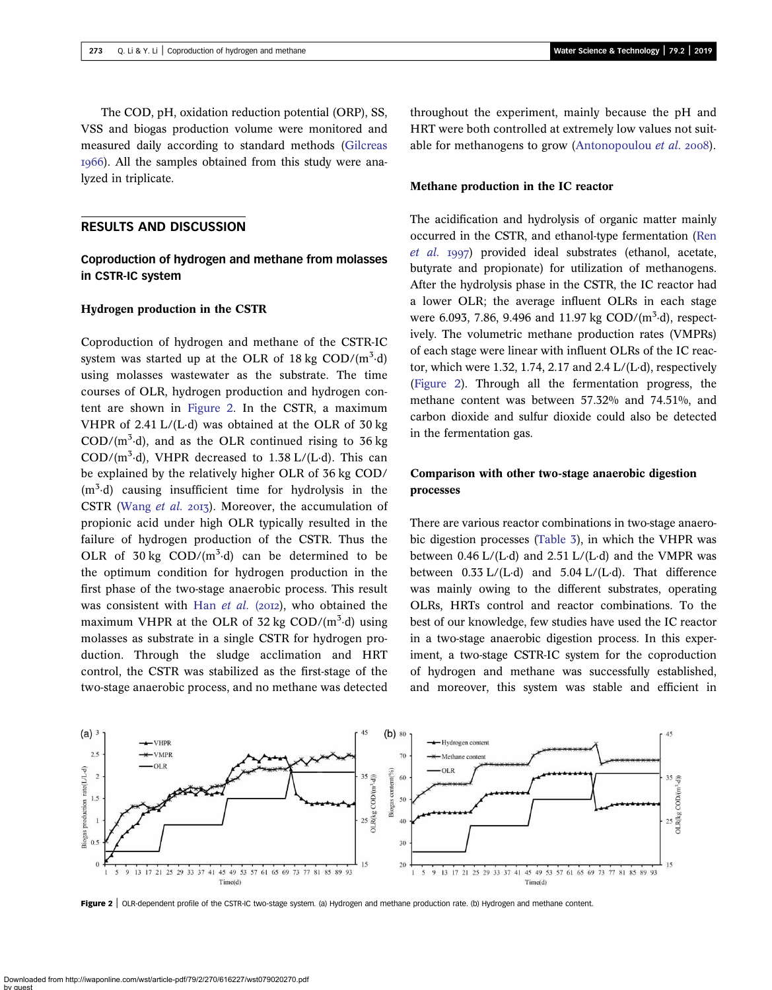The COD, pH, oxidation reduction potential (ORP), SS, VSS and biogas production volume were monitored and measured daily according to standard methods [\(Gilcreas](#page-6-0) ). All the samples obtained from this study were analyzed in triplicate.

### RESULTS AND DISCUSSION

# Coproduction of hydrogen and methane from molasses in CSTR-IC system

### Hydrogen production in the CSTR

Coproduction of hydrogen and methane of the CSTR-IC system was started up at the OLR of  $18 \text{ kg } COD/(m^3 \text{·d})$ using molasses wastewater as the substrate. The time courses of OLR, hydrogen production and hydrogen content are shown in Figure 2. In the CSTR, a maximum VHPR of 2.41 L/(L·d) was obtained at the OLR of 30 kg  $\text{COD/(m}^3 \cdot d)$ , and as the OLR continued rising to 36 kg  $\text{COD/(m}^3 \cdot d)$ , VHPR decreased to 1.38 L/(L·d). This can be explained by the relatively higher OLR of 36 kg COD/ (m<sup>3</sup>·d) causing insufficient time for hydrolysis in the CSTR [\(Wang](#page-7-0) et al. 2013). Moreover, the accumulation of propionic acid under high OLR typically resulted in the failure of hydrogen production of the CSTR. Thus the OLR of  $30 \text{ kg }$  COD/(m<sup>3</sup> $\cdot$ d) can be determined to be the optimum condition for hydrogen production in the first phase of the two-stage anaerobic process. This result was consistent with Han [et al.](#page-6-0) (2012), who obtained the maximum VHPR at the OLR of  $32 \text{ kg } COD/(m^3 \text{ d})$  using molasses as substrate in a single CSTR for hydrogen production. Through the sludge acclimation and HRT control, the CSTR was stabilized as the first-stage of the two-stage anaerobic process, and no methane was detected throughout the experiment, mainly because the pH and HRT were both controlled at extremely low values not suit-able for methanogens to grow ([Antonopoulou](#page-6-0) et al. 2008).

#### Methane production in the IC reactor

The acidification and hydrolysis of organic matter mainly occurred in the CSTR, and ethanol-type fermentation ([Ren](#page-7-0) [et al.](#page-7-0) 1997) provided ideal substrates (ethanol, acetate, butyrate and propionate) for utilization of methanogens. After the hydrolysis phase in the CSTR, the IC reactor had a lower OLR; the average influent OLRs in each stage were 6.093, 7.86, 9.496 and 11.97 kg  $\text{COD/(m}^3 \text{-d})$ , respectively. The volumetric methane production rates (VMPRs) of each stage were linear with influent OLRs of the IC reactor, which were 1.32, 1.74, 2.17 and 2.4  $L/(L \cdot d)$ , respectively (Figure 2). Through all the fermentation progress, the methane content was between 57.32% and 74.51%, and carbon dioxide and sulfur dioxide could also be detected in the fermentation gas.

# Comparison with other two-stage anaerobic digestion processes

There are various reactor combinations in two-stage anaerobic digestion processes ([Table 3](#page-4-0)), in which the VHPR was between  $0.46$  L/(L·d) and  $2.51$  L/(L·d) and the VMPR was between  $0.33$  L/(L·d) and  $5.04$  L/(L·d). That difference was mainly owing to the different substrates, operating OLRs, HRTs control and reactor combinations. To the best of our knowledge, few studies have used the IC reactor in a two-stage anaerobic digestion process. In this experiment, a two-stage CSTR-IC system for the coproduction of hydrogen and methane was successfully established, and moreover, this system was stable and efficient in



Figure 2 | OLR-dependent profile of the CSTR-IC two-stage system. (a) Hydrogen and methane production rate. (b) Hydrogen and methane content.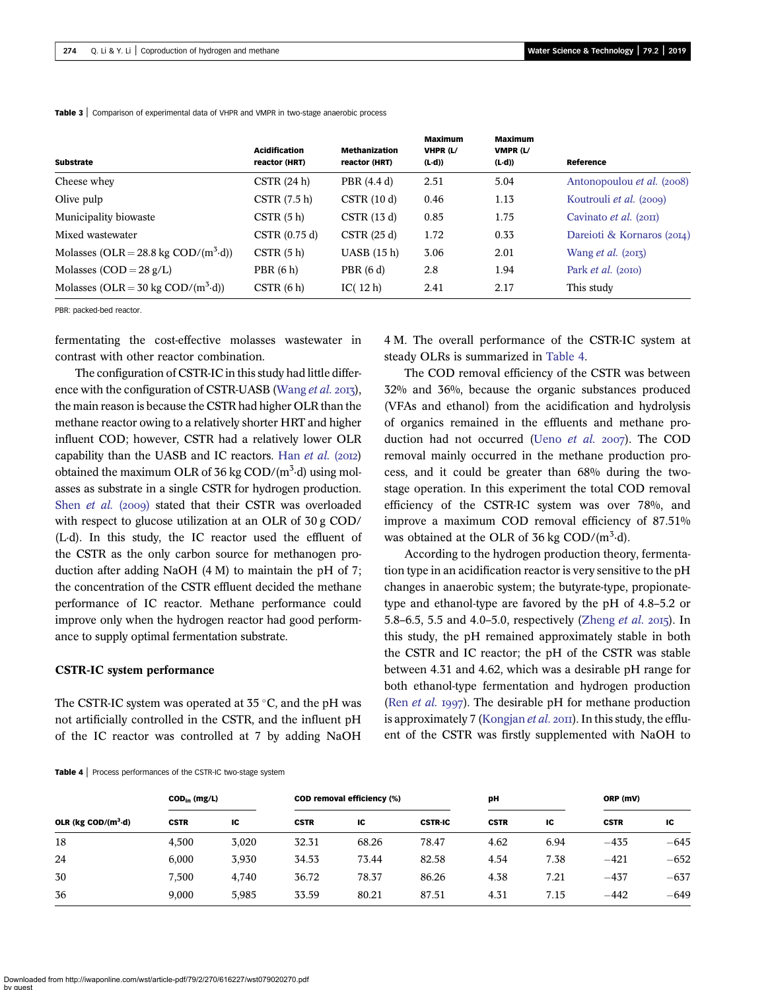|                                                | <b>Acidification</b> | <b>Methanization</b> | <b>Maximum</b><br>VHPR (L/ | <b>Maximum</b><br>VMPR (L/ |                                       |
|------------------------------------------------|----------------------|----------------------|----------------------------|----------------------------|---------------------------------------|
| <b>Substrate</b>                               | reactor (HRT)        | reactor (HRT)        | $(L \cdot d)$              | $(L \cdot d)$              | Reference                             |
| Cheese whey                                    | CSTR(24 h)           | PBR (4.4 d)          | 2.51                       | 5.04                       | Antonopoulou et al. (2008)            |
| Olive pulp                                     | CSTR(7.5 h)          | CSTR(10d)            | 0.46                       | 1.13                       | Koutrouli <i>et al.</i> (2009)        |
| Municipality biowaste                          | CSTR(5 h)            | CSTR(13d)            | 0.85                       | 1.75                       | Cavinato <i>et al.</i> $(20\text{H})$ |
| Mixed wastewater                               | CSTR (0.75 d)        | CSTR(25d)            | 1.72                       | 0.33                       | Dareioti & Kornaros (2014)            |
| Molasses (OLR = 28.8 kg COD/ $(m^3 \cdot d)$ ) | CSTR(5 h)            | UASB (15 h)          | 3.06                       | 2.01                       | Wang <i>et al.</i> $(2013)$           |
| Molasses $(COD = 28 g/L)$                      | PBR(6 h)             | PBR(6d)              | 2.8                        | 1.94                       | Park <i>et al.</i> (2010)             |
| Molasses (OLR = 30 kg COD/ $(m^3 \cdot d)$ )   | CSTR(6 h)            | IC $(12h)$           | 2.41                       | 2.17                       | This study                            |

<span id="page-4-0"></span>**Table 3** Comparison of experimental data of VHPR and VMPR in two-stage anaerobic process

PBR: packed-bed reactor.

fermentating the cost-effective molasses wastewater in contrast with other reactor combination.

The configuration of CSTR-IC in this study had little differ-ence with the configuration of CSTR-UASB [\(Wang](#page-7-0) *et al.* 2013), the main reason is because the CSTR had higher OLR than the methane reactor owing to a relatively shorter HRT and higher influent COD; however, CSTR had a relatively lower OLR capability than the UASB and IC reactors. Han  $et$   $al.$  (2012) obtained the maximum OLR of 36 kg  $\text{COD}/(\text{m}^3 \cdot \text{d})$  using molasses as substrate in a single CSTR for hydrogen production. Shen [et al.](#page-7-0) (2009) stated that their CSTR was overloaded with respect to glucose utilization at an OLR of 30 g COD/ (L·d). In this study, the IC reactor used the effluent of the CSTR as the only carbon source for methanogen production after adding NaOH (4 M) to maintain the pH of 7; the concentration of the CSTR effluent decided the methane performance of IC reactor. Methane performance could improve only when the hydrogen reactor had good performance to supply optimal fermentation substrate.

### CSTR-IC system performance

The CSTR-IC system was operated at  $35^{\circ}$ C, and the pH was not artificially controlled in the CSTR, and the influent pH of the IC reactor was controlled at 7 by adding NaOH

4 M. The overall performance of the CSTR-IC system at steady OLRs is summarized in Table 4.

The COD removal efficiency of the CSTR was between 32% and 36%, because the organic substances produced (VFAs and ethanol) from the acidification and hydrolysis of organics remained in the effluents and methane production had not occurred (Ueno [et al.](#page-7-0)  $2007$ ). The COD removal mainly occurred in the methane production process, and it could be greater than 68% during the twostage operation. In this experiment the total COD removal efficiency of the CSTR-IC system was over 78%, and improve a maximum COD removal efficiency of 87.51% was obtained at the OLR of 36 kg  $\text{COD}/(\text{m}^3 \cdot \text{d})$ .

According to the hydrogen production theory, fermentation type in an acidification reactor is very sensitive to the pH changes in anaerobic system; the butyrate-type, propionatetype and ethanol-type are favored by the pH of 4.8–5.2 or 5.8–6.5, 5.5 and 4.0–5.0, respectively [\(Zheng](#page-7-0) *et al.* 2015). In this study, the pH remained approximately stable in both the CSTR and IC reactor; the pH of the CSTR was stable between 4.31 and 4.62, which was a desirable pH range for both ethanol-type fermentation and hydrogen production (Ren *[et al.](#page-7-0)* 1997). The desirable pH for methane production is approximately 7 ([Kongjan](#page-6-0) *et al.*  $20\pi$ ). In this study, the effluent of the CSTR was firstly supplemented with NaOH to

|  | Table 4   Process performances of the CSTR-IC two-stage system |
|--|----------------------------------------------------------------|
|--|----------------------------------------------------------------|

|                           | $\mathsf{COD}_{\mathsf{in}}$ (mg/L) |       |             | <b>COD removal efficiency (%)</b> |                | pH          |      | ORP (mV)    |        |
|---------------------------|-------------------------------------|-------|-------------|-----------------------------------|----------------|-------------|------|-------------|--------|
| OLR ( $kg$ COD/( $m3$ ·d) | <b>CSTR</b>                         | IC.   | <b>CSTR</b> | IC                                | <b>CSTR-IC</b> | <b>CSTR</b> | IC   | <b>CSTR</b> | IC     |
| 18                        | 4.500                               | 3.020 | 32.31       | 68.26                             | 78.47          | 4.62        | 6.94 | $-435$      | $-645$ |
| 24                        | 6.000                               | 3.930 | 34.53       | 73.44                             | 82.58          | 4.54        | 7.38 | $-421$      | $-652$ |
| 30                        | 7.500                               | 4.740 | 36.72       | 78.37                             | 86.26          | 4.38        | 7.21 | $-437$      | $-637$ |
| 36                        | 9,000                               | 5.985 | 33.59       | 80.21                             | 87.51          | 4.31        | 7.15 | $-442$      | $-649$ |
|                           |                                     |       |             |                                   |                |             |      |             |        |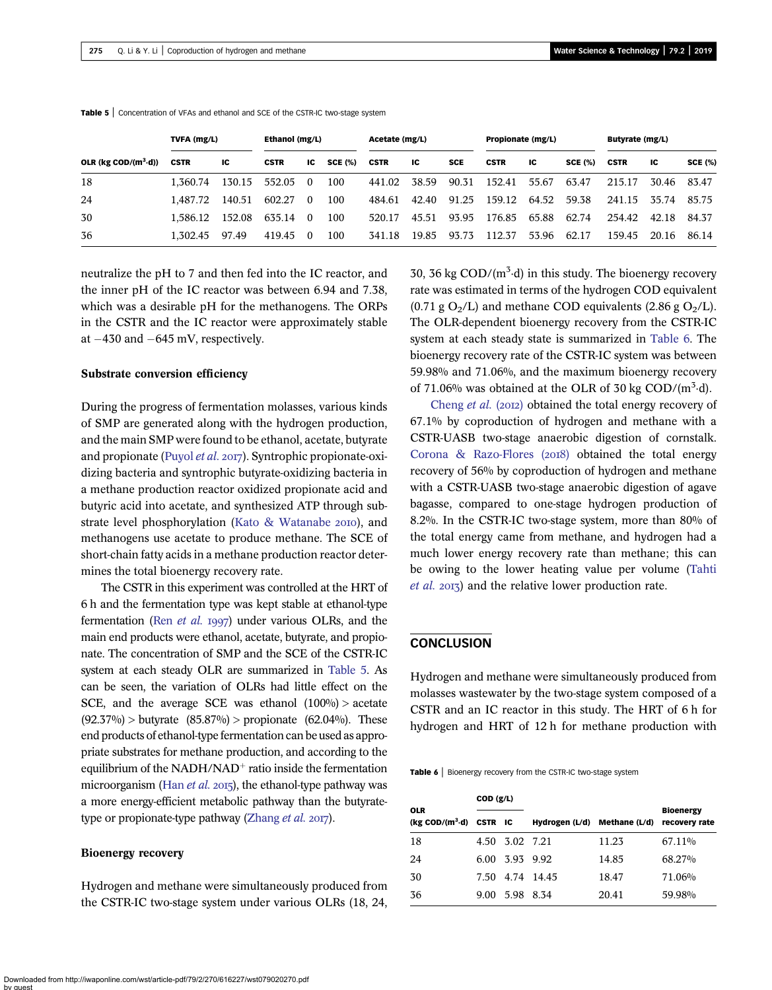|                                   | TVFA (mg/L) |        | Ethanol (mg/L) |          | Acetate (mg/L) |             | Propionate (mg/L) |            | Butyrate (mg/L) |       |                |             |       |                |
|-----------------------------------|-------------|--------|----------------|----------|----------------|-------------|-------------------|------------|-----------------|-------|----------------|-------------|-------|----------------|
| OLR ( $kg$ COD/ $(m^3 \cdot d)$ ) | <b>CSTR</b> | IC     | <b>CSTR</b>    | IC       | <b>SCE (%)</b> | <b>CSTR</b> | ıc                | <b>SCE</b> | <b>CSTR</b>     | ıc    | <b>SCE (%)</b> | <b>CSTR</b> | ΙC    | <b>SCE (%)</b> |
| 18                                | 1.360.74    | 130.15 | 552.05 0       |          | 100            | 441.02      | 38.59             | 90.31      | 152.41          | 55.67 | 63.47          | 215.17      | 30.46 | 83.47          |
| 24                                | 1.487.72    | 140.51 | 602.27         | $\theta$ | 100            | 484.61      | 42.40             | 91.25      | 159.12 64.52    |       | 59.38          | 241.15      | 35.74 | 85.75          |
| 30                                | 1.586.12    | 152.08 | 635.14         | - 0      | 100            | 520.17      | 45.51             | 93.95      | 176.85          | 65.88 | 62.74          | 254.42      | 42.18 | 84.37          |
| 36                                | 1.302.45    | 97.49  | 419.45         | -0       | 100            | 341.18      | 19.85             | 93.73      | 112.37          | 53.96 | 62.17          | 159.45      | 20.16 | 86.14          |

Table 5 | Concentration of VFAs and ethanol and SCE of the CSTR-IC two-stage system

neutralize the pH to 7 and then fed into the IC reactor, and the inner pH of the IC reactor was between 6.94 and 7.38, which was a desirable pH for the methanogens. The ORPs in the CSTR and the IC reactor were approximately stable at  $-430$  and  $-645$  mV, respectively.

#### Substrate conversion efficiency

During the progress of fermentation molasses, various kinds of SMP are generated along with the hydrogen production, and the main SMP were found to be ethanol, acetate, butyrate and propionate ([Puyol](#page-7-0) et al. 2017). Syntrophic propionate-oxidizing bacteria and syntrophic butyrate-oxidizing bacteria in a methane production reactor oxidized propionate acid and butyric acid into acetate, and synthesized ATP through sub-strate level phosphorylation [\(Kato & Watanabe](#page-6-0) 2010), and methanogens use acetate to produce methane. The SCE of short-chain fatty acids in a methane production reactor determines the total bioenergy recovery rate.

The CSTR in this experiment was controlled at the HRT of 6 h and the fermentation type was kept stable at ethanol-type fermentation (Ren  $et$  al. 1997) under various OLRs, and the main end products were ethanol, acetate, butyrate, and propionate. The concentration of SMP and the SCE of the CSTR-IC system at each steady OLR are summarized in Table 5. As can be seen, the variation of OLRs had little effect on the SCE, and the average SCE was ethanol  $(100\%)$  > acetate  $(92.37\%)$  > butyrate  $(85.87\%)$  > propionate  $(62.04\%)$ . These end products of ethanol-type fermentation can be used as appropriate substrates for methane production, and according to the equilibrium of the NADH/NAD<sup>+</sup> ratio inside the fermentation microorganism (Han  $et$  al. 2015), the ethanol-type pathway was a more energy-efficient metabolic pathway than the butyrate-type or propionate-type pathway [\(Zhang](#page-7-0)  $et al. 2017$ ).

#### Bioenergy recovery

Hydrogen and methane were simultaneously produced from the CSTR-IC two-stage system under various OLRs (18, 24,

30, 36 kg  $\text{COD}/(\text{m}^3 \cdot d)$  in this study. The bioenergy recovery rate was estimated in terms of the hydrogen COD equivalent  $(0.71 \text{ g } O_2/L)$  and methane COD equivalents  $(2.86 \text{ g } O_2/L)$ . The OLR-dependent bioenergy recovery from the CSTR-IC system at each steady state is summarized in Table 6. The bioenergy recovery rate of the CSTR-IC system was between 59.98% and 71.06%, and the maximum bioenergy recovery of 71.06% was obtained at the OLR of 30 kg  $\text{COD/(m}^3 \cdot d)$ .

[Cheng](#page-6-0) et al. (2012) obtained the total energy recovery of 67.1% by coproduction of hydrogen and methane with a CSTR-UASB two-stage anaerobic digestion of cornstalk. Corona & Razo-Flores  $(2018)$  obtained the total energy recovery of 56% by coproduction of hydrogen and methane with a CSTR-UASB two-stage anaerobic digestion of agave bagasse, compared to one-stage hydrogen production of 8.2%. In the CSTR-IC two-stage system, more than 80% of the total energy came from methane, and hydrogen had a much lower energy recovery rate than methane; this can be owing to the lower heating value per volume ([Tahti](#page-7-0) [et al.](#page-7-0) 2013) and the relative lower production rate.

### **CONCLUSION**

Hydrogen and methane were simultaneously produced from molasses wastewater by the two-stage system composed of a CSTR and an IC reactor in this study. The HRT of 6 h for hydrogen and HRT of 12 h for methane production with

Table 6 | Bioenergy recovery from the CSTR-IC two-stage system

|                                                       | COD (g/L) |                |                 |               |                                   |  |  |  |  |
|-------------------------------------------------------|-----------|----------------|-----------------|---------------|-----------------------------------|--|--|--|--|
| <b>OLR</b><br>$(kg \text{ COD}/(m^3 \cdot d)$ CSTR IC |           |                | Hydrogen (L/d)  | Methane (L/d) | <b>Bioenergy</b><br>recovery rate |  |  |  |  |
| 18                                                    |           | 4.50 3.02 7.21 |                 | 11.23         | 67.11%                            |  |  |  |  |
| 24                                                    | 6.00      | 3.93 9.92      |                 | 14.85         | 68.27%                            |  |  |  |  |
| 30                                                    |           |                | 7.50 4.74 14.45 | 18.47         | 71.06%                            |  |  |  |  |
| 36                                                    | 9.00      | 5.98 8.34      |                 | 20.41         | 59.98%                            |  |  |  |  |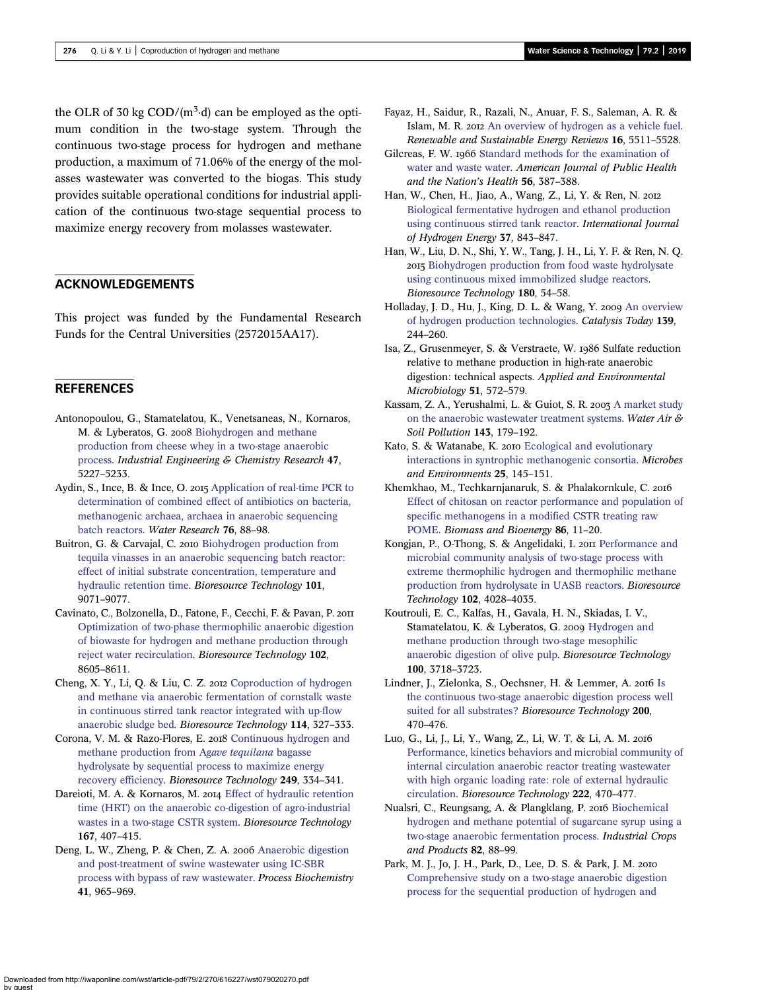<span id="page-6-0"></span>the OLR of 30 kg  $\text{COD}/(\text{m}^3 \cdot \text{d})$  can be employed as the optimum condition in the two-stage system. Through the continuous two-stage process for hydrogen and methane production, a maximum of 71.06% of the energy of the molasses wastewater was converted to the biogas. This study provides suitable operational conditions for industrial application of the continuous two-stage sequential process to maximize energy recovery from molasses wastewater.

### ACKNOWLEDGEMENTS

This project was funded by the Fundamental Research Funds for the Central Universities (2572015AA17).

### **REFERENCES**

- Antonopoulou, G., Stamatelatou, K., Venetsaneas, N., Kornaros, M. & Lyberatos, G. 2008 [Biohydrogen and methane](http://dx.doi.org/10.1021/ie071622x) [production from cheese whey in a two-stage anaerobic](http://dx.doi.org/10.1021/ie071622x) [process](http://dx.doi.org/10.1021/ie071622x). Industrial Engineering & Chemistry Research 47, 5227–5233.
- Aydin, S., Ince, B. & Ince, O. 2015 [Application of real-time PCR to](http://dx.doi.org/10.1016/j.watres.2015.02.043) [determination of combined effect of antibiotics on bacteria,](http://dx.doi.org/10.1016/j.watres.2015.02.043) [methanogenic archaea, archaea in anaerobic sequencing](http://dx.doi.org/10.1016/j.watres.2015.02.043) [batch reactors.](http://dx.doi.org/10.1016/j.watres.2015.02.043) Water Research 76, 88–98.
- Buitron, G. & Carvajal, C. 2010 [Biohydrogen production from](http://dx.doi.org/10.1016/j.biortech.2010.06.127) [tequila vinasses in an anaerobic sequencing batch reactor:](http://dx.doi.org/10.1016/j.biortech.2010.06.127) [effect of initial substrate concentration, temperature and](http://dx.doi.org/10.1016/j.biortech.2010.06.127) [hydraulic retention time.](http://dx.doi.org/10.1016/j.biortech.2010.06.127) Bioresource Technology 101, 9071–9077.
- Cavinato, C., Bolzonella, D., Fatone, F., Cecchi, F. & Pavan, P. [Optimization of two-phase thermophilic anaerobic digestion](http://dx.doi.org/10.1016/j.biortech.2011.03.084) [of biowaste for hydrogen and methane production through](http://dx.doi.org/10.1016/j.biortech.2011.03.084) [reject water recirculation](http://dx.doi.org/10.1016/j.biortech.2011.03.084). Bioresource Technology 102, 8605–8611.
- Cheng, X. Y., Li, Q. & Liu, C. Z. 2012 [Coproduction of hydrogen](http://dx.doi.org/10.1016/j.biortech.2012.03.038) [and methane via anaerobic fermentation of cornstalk waste](http://dx.doi.org/10.1016/j.biortech.2012.03.038) [in continuous stirred tank reactor integrated with up-flow](http://dx.doi.org/10.1016/j.biortech.2012.03.038) [anaerobic sludge bed.](http://dx.doi.org/10.1016/j.biortech.2012.03.038) Bioresource Technology 114, 327–333.
- Corona, V. M. & Razo-Flores, E. 2018 [Continuous hydrogen and](http://dx.doi.org/10.1016/j.biortech.2017.10.032) [methane production from A](http://dx.doi.org/10.1016/j.biortech.2017.10.032)gave tequilana bagasse [hydrolysate by sequential process to maximize energy](http://dx.doi.org/10.1016/j.biortech.2017.10.032) [recovery efficiency.](http://dx.doi.org/10.1016/j.biortech.2017.10.032) Bioresource Technology 249, 334–341.
- Dareioti, M. A. & Kornaros, M. 2014 [Effect of hydraulic retention](http://dx.doi.org/10.1016/j.biortech.2014.06.045) [time \(HRT\) on the anaerobic co-digestion of agro-industrial](http://dx.doi.org/10.1016/j.biortech.2014.06.045) [wastes in a two-stage CSTR system.](http://dx.doi.org/10.1016/j.biortech.2014.06.045) Bioresource Technology 167, 407–415.
- Deng, L. W., Zheng, P. & Chen, Z. A. 2006 [Anaerobic digestion](http://dx.doi.org/10.1016/j.procbio.2005.10.022) [and post-treatment of swine wastewater using IC-SBR](http://dx.doi.org/10.1016/j.procbio.2005.10.022) [process with bypass of raw wastewater.](http://dx.doi.org/10.1016/j.procbio.2005.10.022) Process Biochemistry 41, 965–969.
- Fayaz, H., Saidur, R., Razali, N., Anuar, F. S., Saleman, A. R. & Islam, M. R. 2012 [An overview of hydrogen as a vehicle fuel](http://dx.doi.org/10.1016/j.rser.2012.06.012). Renewable and Sustainable Energy Reviews 16, 5511–5528.
- Gilcreas, F. W. 1966 [Standard methods for the examination of](http://dx.doi.org/10.2105/AJPH.56.3.387) [water and waste water.](http://dx.doi.org/10.2105/AJPH.56.3.387) American Journal of Public Health and the Nation's Health 56, 387–388.
- Han, W., Chen, H., Jiao, A., Wang, Z., Li, Y. & Ren, N. [Biological fermentative hydrogen and ethanol production](http://dx.doi.org/10.1016/j.ijhydene.2011.04.048) [using continuous stirred tank reactor](http://dx.doi.org/10.1016/j.ijhydene.2011.04.048). International Journal of Hydrogen Energy 37, 843–847.
- Han, W., Liu, D. N., Shi, Y. W., Tang, J. H., Li, Y. F. & Ren, N. Q. 2015 [Biohydrogen production from food waste hydrolysate](http://dx.doi.org/10.1016/j.biortech.2014.12.067) [using continuous mixed immobilized sludge reactors.](http://dx.doi.org/10.1016/j.biortech.2014.12.067) Bioresource Technology 180, 54–58.
- Holladay, J. D., Hu, J., King, D. L. & Wang, Y. 2009 [An overview](http://dx.doi.org/10.1016/j.cattod.2008.08.039) [of hydrogen production technologies.](http://dx.doi.org/10.1016/j.cattod.2008.08.039) Catalysis Today 139, 244–260.
- Isa, Z., Grusenmeyer, S. & Verstraete, W. 1986 Sulfate reduction relative to methane production in high-rate anaerobic digestion: technical aspects. Applied and Environmental Microbiology 51, 572–579.
- Kassam, Z. A., Yerushalmi, L. & Guiot, S. R. 2003 [A market study](http://dx.doi.org/10.1023/A:1022807416773) [on the anaerobic wastewater treatment systems.](http://dx.doi.org/10.1023/A:1022807416773) Water Air & Soil Pollution 143, 179–192.
- Kato, S. & Watanabe, K. 2010 [Ecological and evolutionary](http://dx.doi.org/10.1264/jsme2.ME10122) [interactions in syntrophic methanogenic consortia.](http://dx.doi.org/10.1264/jsme2.ME10122) Microbes and Environments 25, 145–151.
- Khemkhao, M., Techkarnjanaruk, S. & Phalakornkule, C. [Effect of chitosan on reactor performance and population of](http://dx.doi.org/10.1016/j.biombioe.2016.01.002) [specific methanogens in a modified CSTR treating raw](http://dx.doi.org/10.1016/j.biombioe.2016.01.002) [POME](http://dx.doi.org/10.1016/j.biombioe.2016.01.002). Biomass and Bioenergy 86, 11–20.
- Kongjan, P., O-Thong, S. & Angelidaki, I. 2011 [Performance and](http://dx.doi.org/10.1016/j.biortech.2010.12.009) [microbial community analysis of two-stage process with](http://dx.doi.org/10.1016/j.biortech.2010.12.009) [extreme thermophilic hydrogen and thermophilic methane](http://dx.doi.org/10.1016/j.biortech.2010.12.009) [production from hydrolysate in UASB reactors.](http://dx.doi.org/10.1016/j.biortech.2010.12.009) Bioresource Technology 102, 4028–4035.
- Koutrouli, E. C., Kalfas, H., Gavala, H. N., Skiadas, I. V., Stamatelatou, K. & Lyberatos, G. 2009 [Hydrogen and](http://dx.doi.org/10.1016/j.biortech.2009.01.037) [methane production through two-stage mesophilic](http://dx.doi.org/10.1016/j.biortech.2009.01.037) [anaerobic digestion of olive pulp](http://dx.doi.org/10.1016/j.biortech.2009.01.037). Bioresource Technology 100, 3718–3723.
- Lindner, J., Zielonka, S., Oechsner, H. & Lemmer, A. 2016 [Is](http://dx.doi.org/10.1016/j.biortech.2015.10.052) [the continuous two-stage anaerobic digestion process well](http://dx.doi.org/10.1016/j.biortech.2015.10.052) [suited for all substrates?](http://dx.doi.org/10.1016/j.biortech.2015.10.052) Bioresource Technology 200, 470–476.
- Luo, G., Li, J., Li, Y., Wang, Z., Li, W. T. & Li, A. M. [Performance, kinetics behaviors and microbial community of](http://dx.doi.org/10.1016/j.biortech.2016.10.023) [internal circulation anaerobic reactor treating wastewater](http://dx.doi.org/10.1016/j.biortech.2016.10.023) [with high organic loading rate: role of external hydraulic](http://dx.doi.org/10.1016/j.biortech.2016.10.023) [circulation](http://dx.doi.org/10.1016/j.biortech.2016.10.023). Bioresource Technology 222, 470–477.
- Nualsri, C., Reungsang, A. & Plangklang, P. 2016 [Biochemical](http://dx.doi.org/10.1016/j.indcrop.2015.12.002) [hydrogen and methane potential of sugarcane syrup using a](http://dx.doi.org/10.1016/j.indcrop.2015.12.002) [two-stage anaerobic fermentation process](http://dx.doi.org/10.1016/j.indcrop.2015.12.002). Industrial Crops and Products 82, 88–99.
- Park, M. J., Jo, J. H., Park, D., Lee, D. S. & Park, J. M. [Comprehensive study on a two-stage anaerobic digestion](http://dx.doi.org/10.1016/j.ijhydene.2010.03.135) [process for the sequential production of hydrogen and](http://dx.doi.org/10.1016/j.ijhydene.2010.03.135)